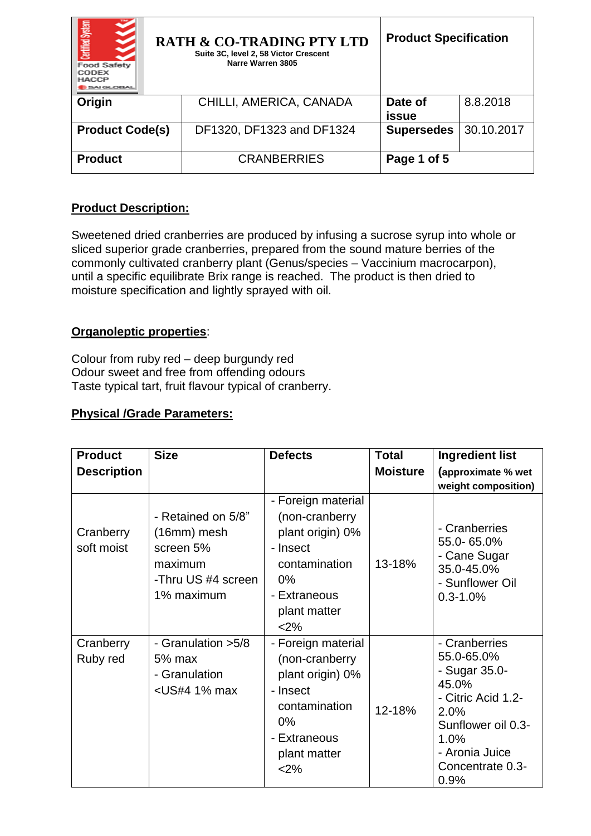| Certified System<br><b>Food Safety</b><br>CODEX<br><b>HACCP</b><br>5AI GLOBAL | <b>RATH &amp; CO-TRADING PTY LTD</b><br>Suite 3C, level 2, 58 Victor Crescent<br>Narre Warren 3805 | <b>Product Specification</b> |            |
|-------------------------------------------------------------------------------|----------------------------------------------------------------------------------------------------|------------------------------|------------|
| Origin                                                                        | CHILLI, AMERICA, CANADA                                                                            | Date of<br>issue             | 8.8.2018   |
| <b>Product Code(s)</b>                                                        | DF1320, DF1323 and DF1324                                                                          | <b>Supersedes</b>            | 30.10.2017 |
| <b>Product</b>                                                                | <b>CRANBERRIES</b>                                                                                 | Page 1 of 5                  |            |

# **Product Description:**

Sweetened dried cranberries are produced by infusing a sucrose syrup into whole or sliced superior grade cranberries, prepared from the sound mature berries of the commonly cultivated cranberry plant (Genus/species – Vaccinium macrocarpon), until a specific equilibrate Brix range is reached. The product is then dried to moisture specification and lightly sprayed with oil.

## **Organoleptic properties**:

Colour from ruby red – deep burgundy red Odour sweet and free from offending odours Taste typical tart, fruit flavour typical of cranberry.

## **Physical /Grade Parameters:**

| <b>Product</b>          | <b>Size</b>                                                                                                                                                                                                                                                                                                                                                                                                                                                        | <b>Defects</b>                                                                                                                          | <b>Total</b>    | <b>Ingredient list</b>                                                                                                                                          |
|-------------------------|--------------------------------------------------------------------------------------------------------------------------------------------------------------------------------------------------------------------------------------------------------------------------------------------------------------------------------------------------------------------------------------------------------------------------------------------------------------------|-----------------------------------------------------------------------------------------------------------------------------------------|-----------------|-----------------------------------------------------------------------------------------------------------------------------------------------------------------|
| <b>Description</b>      |                                                                                                                                                                                                                                                                                                                                                                                                                                                                    |                                                                                                                                         | <b>Moisture</b> | (approximate % wet<br>weight composition)                                                                                                                       |
| Cranberry<br>soft moist | - Retained on 5/8"<br>$(16mm)$ mesh<br>screen 5%<br>maximum<br>-Thru US #4 screen<br>1% maximum                                                                                                                                                                                                                                                                                                                                                                    | - Foreign material<br>(non-cranberry<br>plant origin) 0%<br>- Insect<br>contamination<br>$0\%$<br>- Extraneous<br>plant matter<br>$2\%$ | 13-18%          | - Cranberries<br>55.0-65.0%<br>- Cane Sugar<br>35.0-45.0%<br>- Sunflower Oil<br>$0.3 - 1.0%$                                                                    |
| Cranberry<br>Ruby red   | - Granulation > 5/8<br>5% max<br>- Granulation<br><us#4 1%="" max<="" td=""><td>- Foreign material<br/>(non-cranberry<br/>plant origin) 0%<br/>- Insect<br/>contamination<br/><math>0\%</math><br/>- Extraneous<br/>plant matter<br/><math>2\%</math></td><td>12-18%</td><td>- Cranberries<br/>55.0-65.0%<br/>- Sugar 35.0-<br/>45.0%<br/>- Citric Acid 1.2-<br/>2.0%<br/>Sunflower oil 0.3-<br/>1.0%<br/>- Aronia Juice<br/>Concentrate 0.3-<br/>0.9%</td></us#4> | - Foreign material<br>(non-cranberry<br>plant origin) 0%<br>- Insect<br>contamination<br>$0\%$<br>- Extraneous<br>plant matter<br>$2\%$ | 12-18%          | - Cranberries<br>55.0-65.0%<br>- Sugar 35.0-<br>45.0%<br>- Citric Acid 1.2-<br>2.0%<br>Sunflower oil 0.3-<br>1.0%<br>- Aronia Juice<br>Concentrate 0.3-<br>0.9% |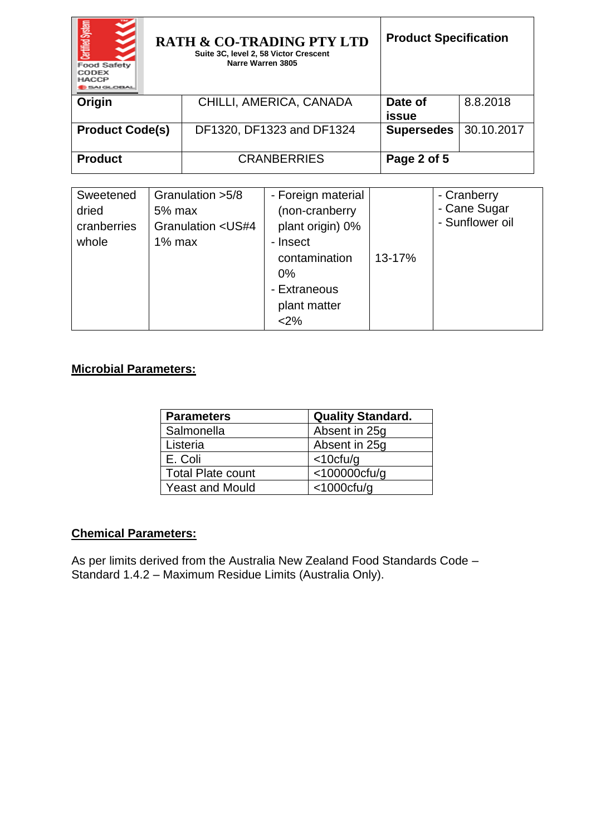| Certified System<br><b>Food Safety</b><br>CODEX<br><b>HACCP</b><br><b>SAI GLOBAL</b> | <b>RATH &amp; CO-TRADING PTY LTD</b><br>Suite 3C, level 2, 58 Victor Crescent<br>Narre Warren 3805 | <b>Product Specification</b> |            |
|--------------------------------------------------------------------------------------|----------------------------------------------------------------------------------------------------|------------------------------|------------|
| Origin                                                                               | CHILLI, AMERICA, CANADA                                                                            | Date of<br>issue             | 8.8.2018   |
| <b>Product Code(s)</b>                                                               | DF1320, DF1323 and DF1324                                                                          | <b>Supersedes</b>            | 30.10.2017 |
| <b>Product</b>                                                                       | <b>CRANBERRIES</b>                                                                                 | Page 2 of 5                  |            |

| Sweetened   | Granulation > 5/8                                                                           | - Foreign material |        | - Cranberry     |
|-------------|---------------------------------------------------------------------------------------------|--------------------|--------|-----------------|
| dried       | $5%$ max                                                                                    | (non-cranberry     |        | - Cane Sugar    |
| cranberries | Granulation <us#4< td=""><td>plant origin) 0%</td><td></td><td>- Sunflower oil</td></us#4<> | plant origin) 0%   |        | - Sunflower oil |
| whole       | $1\%$ max                                                                                   | - Insect           |        |                 |
|             |                                                                                             | contamination      | 13-17% |                 |
|             |                                                                                             | 0%                 |        |                 |
|             |                                                                                             | - Extraneous       |        |                 |
|             |                                                                                             | plant matter       |        |                 |
|             |                                                                                             | <2%                |        |                 |

# **Microbial Parameters:**

| <b>Parameters</b>        | <b>Quality Standard.</b> |
|--------------------------|--------------------------|
| Salmonella               | Absent in 25g            |
| Listeria                 | Absent in 25q            |
| E. Coli                  | $<$ 10cfu/g              |
| <b>Total Plate count</b> | $<$ 100000 $ctu$ /g      |
| <b>Yeast and Mould</b>   | $<$ 1000 $ctu$ /g        |

# **Chemical Parameters:**

As per limits derived from the Australia New Zealand Food Standards Code – Standard 1.4.2 – Maximum Residue Limits (Australia Only).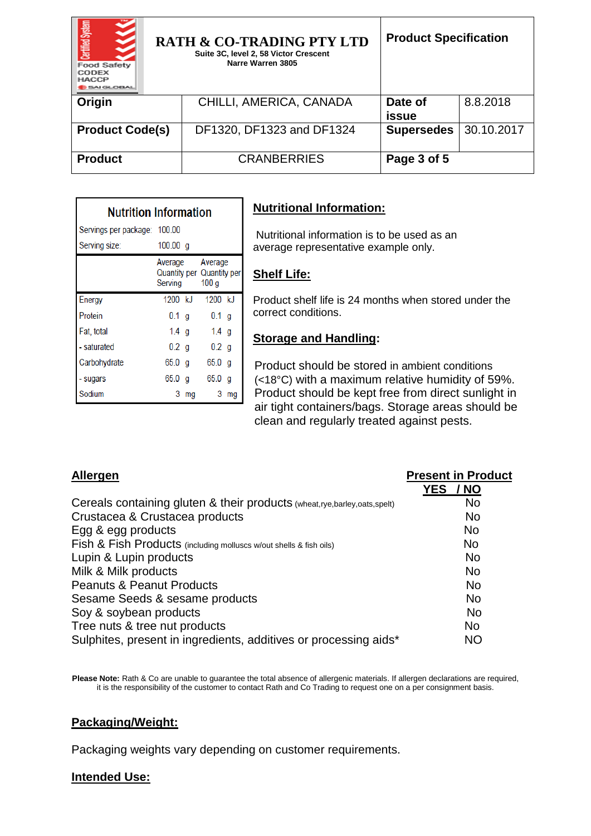| <b>Certified System</b><br><b>Food Safety</b><br>CODEX<br><b>HACCP</b><br><b>MIGLOBAL</b> | <b>RATH &amp; CO-TRADING PTY LTD</b><br>Suite 3C, level 2, 58 Victor Crescent<br>Narre Warren 3805 | <b>Product Specification</b> |            |
|-------------------------------------------------------------------------------------------|----------------------------------------------------------------------------------------------------|------------------------------|------------|
| Origin                                                                                    | CHILLI, AMERICA, CANADA                                                                            | Date of<br>issue             | 8.8.2018   |
| <b>Product Code(s)</b>                                                                    | DF1320, DF1323 and DF1324                                                                          | <b>Supersedes</b>            | 30.10.2017 |
| <b>Product</b>                                                                            | <b>CRANBERRIES</b>                                                                                 | Page 3 of 5                  |            |

| <b>Nutrition Information</b> |                    |    |                                                          |    |  |
|------------------------------|--------------------|----|----------------------------------------------------------|----|--|
| Servings per package: 100.00 |                    |    |                                                          |    |  |
| Serving size:                | 100.00 a           |    |                                                          |    |  |
|                              | Average<br>Serving |    | Average<br>Quantity per Quantity per<br>100 <sub>g</sub> |    |  |
| Energy                       | 1200 kJ            |    | $1200$ kJ                                                |    |  |
| Protein                      | $0.1$ g            |    | 0.1 <sub>q</sub>                                         |    |  |
| Fat, total                   | 1.4 $g$            |    | 1.4 $q$                                                  |    |  |
| - saturated                  | 0.2 <sub>q</sub>   |    | 0.2 <sub>q</sub>                                         |    |  |
| Carbohydrate                 | 65.0 g             |    | $65.0$ g                                                 |    |  |
| - sugars                     | 65.0 g             |    | 65.0 <sub>a</sub>                                        |    |  |
| Sodium                       | 3                  | mq | 3                                                        | mq |  |

# **Nutritional Information:**

Nutritional information is to be used as an average representative example only.

## **Shelf Life:**

Product shelf life is 24 months when stored under the correct conditions.

#### **Storage and Handling:**

Product should be stored in ambient conditions (<18°C) with a maximum relative humidity of 59%. Product should be kept free from direct sunlight in air tight containers/bags. Storage areas should be clean and regularly treated against pests.

| Allergen                                                                 | <b>Present in Product</b> |
|--------------------------------------------------------------------------|---------------------------|
|                                                                          | <b>YES</b><br>/ NO        |
| Cereals containing gluten & their products (wheat,rye,barley,oats,spelt) | <b>No</b>                 |
| Crustacea & Crustacea products                                           | <b>No</b>                 |
| Egg & egg products                                                       | <b>No</b>                 |
| Fish & Fish Products (including molluscs w/out shells & fish oils)       | <b>No</b>                 |
| Lupin & Lupin products                                                   | <b>No</b>                 |
| Milk & Milk products                                                     | <b>No</b>                 |
| <b>Peanuts &amp; Peanut Products</b>                                     | <b>No</b>                 |
| Sesame Seeds & sesame products                                           | <b>No</b>                 |
| Soy & soybean products                                                   | <b>No</b>                 |
| Tree nuts & tree nut products                                            | <b>No</b>                 |
| Sulphites, present in ingredients, additives or processing aids*         | <b>NO</b>                 |

Please Note: Rath & Co are unable to guarantee the total absence of allergenic materials. If allergen declarations are required, it is the responsibility of the customer to contact Rath and Co Trading to request one on a per consignment basis.

#### **Packaging/Weight:**

Packaging weights vary depending on customer requirements.

#### **Intended Use:**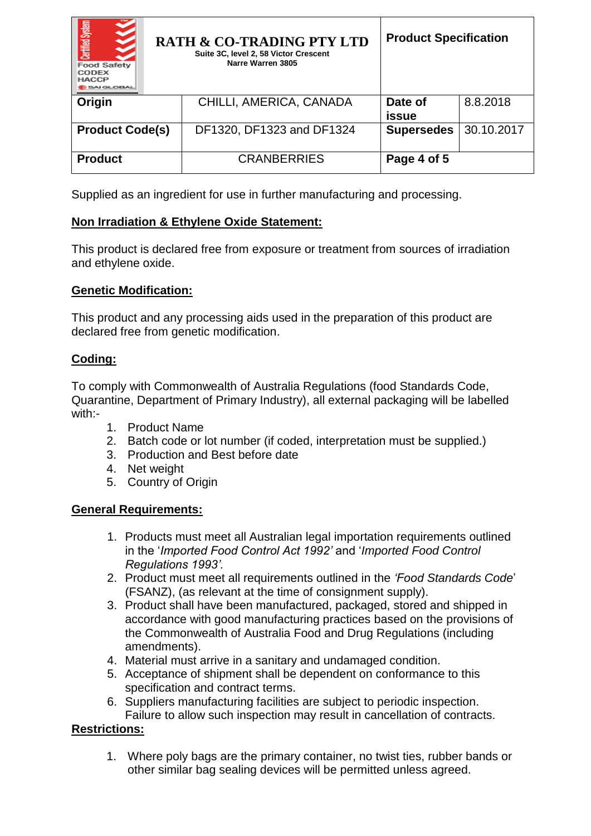| Certified System<br><b>Food Safety</b><br>CODEX<br><b>HACCP</b><br>5AI GLOBAL | <b>RATH &amp; CO-TRADING PTY LTD</b><br>Suite 3C, level 2, 58 Victor Crescent<br>Narre Warren 3805 | <b>Product Specification</b> |            |
|-------------------------------------------------------------------------------|----------------------------------------------------------------------------------------------------|------------------------------|------------|
| Origin                                                                        | CHILLI, AMERICA, CANADA                                                                            | Date of<br>issue             | 8.8.2018   |
| <b>Product Code(s)</b>                                                        | DF1320, DF1323 and DF1324                                                                          | <b>Supersedes</b>            | 30.10.2017 |
| <b>Product</b>                                                                | <b>CRANBERRIES</b>                                                                                 | Page 4 of 5                  |            |

Supplied as an ingredient for use in further manufacturing and processing.

# **Non Irradiation & Ethylene Oxide Statement:**

This product is declared free from exposure or treatment from sources of irradiation and ethylene oxide.

### **Genetic Modification:**

This product and any processing aids used in the preparation of this product are declared free from genetic modification.

### **Coding:**

To comply with Commonwealth of Australia Regulations (food Standards Code, Quarantine, Department of Primary Industry), all external packaging will be labelled with:-

- 1. Product Name
- 2. Batch code or lot number (if coded, interpretation must be supplied.)
- 3. Production and Best before date
- 4. Net weight
- 5. Country of Origin

### **General Requirements:**

- 1. Products must meet all Australian legal importation requirements outlined in the '*Imported Food Control Act 1992'* and '*Imported Food Control Regulations 1993'.*
- 2. Product must meet all requirements outlined in the *'Food Standards Code*' (FSANZ), (as relevant at the time of consignment supply).
- 3. Product shall have been manufactured, packaged, stored and shipped in accordance with good manufacturing practices based on the provisions of the Commonwealth of Australia Food and Drug Regulations (including amendments).
- 4. Material must arrive in a sanitary and undamaged condition.
- 5. Acceptance of shipment shall be dependent on conformance to this specification and contract terms.
- 6. Suppliers manufacturing facilities are subject to periodic inspection. Failure to allow such inspection may result in cancellation of contracts.

# **Restrictions:**

1. Where poly bags are the primary container, no twist ties, rubber bands or other similar bag sealing devices will be permitted unless agreed.